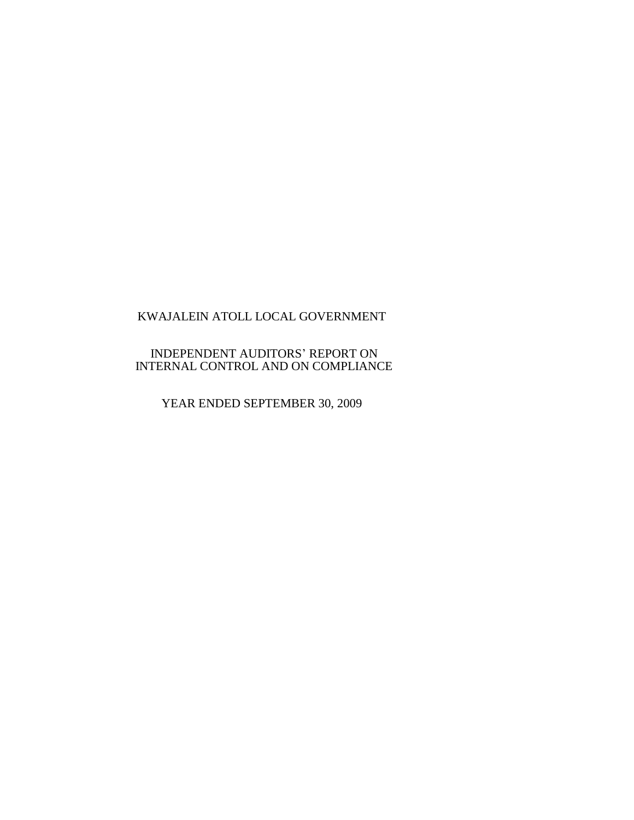# INDEPENDENT AUDITORS' REPORT ON INTERNAL CONTROL AND ON COMPLIANCE

YEAR ENDED SEPTEMBER 30, 2009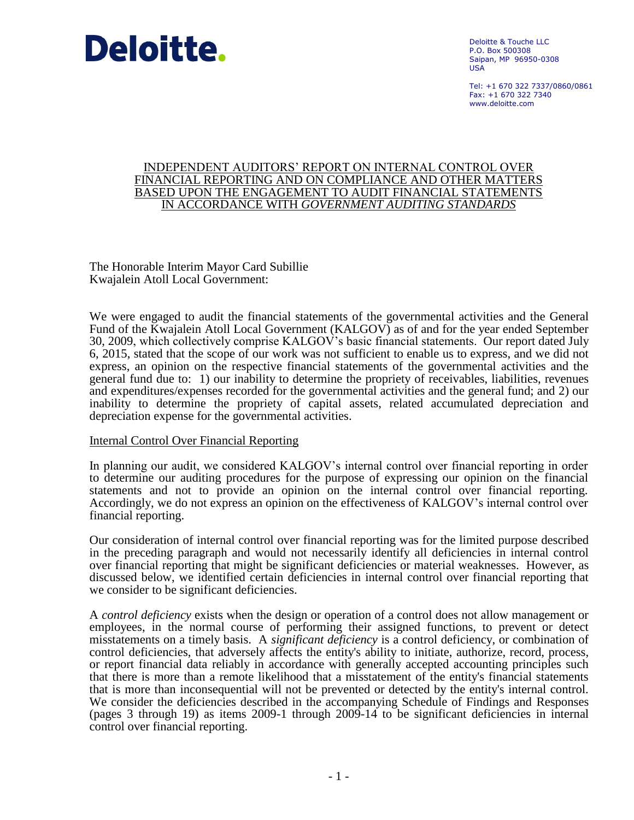

Deloitte & Touche LLC P.O. Box 500308 Saipan, MP 96950-0308 USA

Tel: +1 670 322 7337/0860/0861  $Fay: +1 670 322 7340$ www.deloitte.com

#### INDEPENDENT AUDITORS' REPORT ON INTERNAL CONTROL OVER FINANCIAL REPORTING AND ON COMPLIANCE AND OTHER MATTERS BASED UPON THE ENGAGEMENT TO AUDIT FINANCIAL STATEMENTS IN ACCORDANCE WITH *GOVERNMENT AUDITING STANDARDS*

The Honorable Interim Mayor Card Subillie Kwajalein Atoll Local Government:

We were engaged to audit the financial statements of the governmental activities and the General Fund of the Kwajalein Atoll Local Government (KALGOV) as of and for the year ended September 30, 2009, which collectively comprise KALGOV's basic financial statements. Our report dated July 6, 2015, stated that the scope of our work was not sufficient to enable us to express, and we did not express, an opinion on the respective financial statements of the governmental activities and the general fund due to: 1) our inability to determine the propriety of receivables, liabilities, revenues and expenditures/expenses recorded for the governmental activities and the general fund; and 2) our inability to determine the propriety of capital assets, related accumulated depreciation and depreciation expense for the governmental activities.

### Internal Control Over Financial Reporting

In planning our audit, we considered KALGOV's internal control over financial reporting in order to determine our auditing procedures for the purpose of expressing our opinion on the financial statements and not to provide an opinion on the internal control over financial reporting. Accordingly, we do not express an opinion on the effectiveness of KALGOV's internal control over financial reporting.

Our consideration of internal control over financial reporting was for the limited purpose described in the preceding paragraph and would not necessarily identify all deficiencies in internal control over financial reporting that might be significant deficiencies or material weaknesses. However, as discussed below, we identified certain deficiencies in internal control over financial reporting that we consider to be significant deficiencies.

A *control deficiency* exists when the design or operation of a control does not allow management or employees, in the normal course of performing their assigned functions, to prevent or detect misstatements on a timely basis. A *significant deficiency* is a control deficiency, or combination of control deficiencies, that adversely affects the entity's ability to initiate, authorize, record, process, or report financial data reliably in accordance with generally accepted accounting principles such that there is more than a remote likelihood that a misstatement of the entity's financial statements that is more than inconsequential will not be prevented or detected by the entity's internal control. We consider the deficiencies described in the accompanying Schedule of Findings and Responses (pages 3 through 19) as items 2009-1 through 2009-14 to be significant deficiencies in internal control over financial reporting.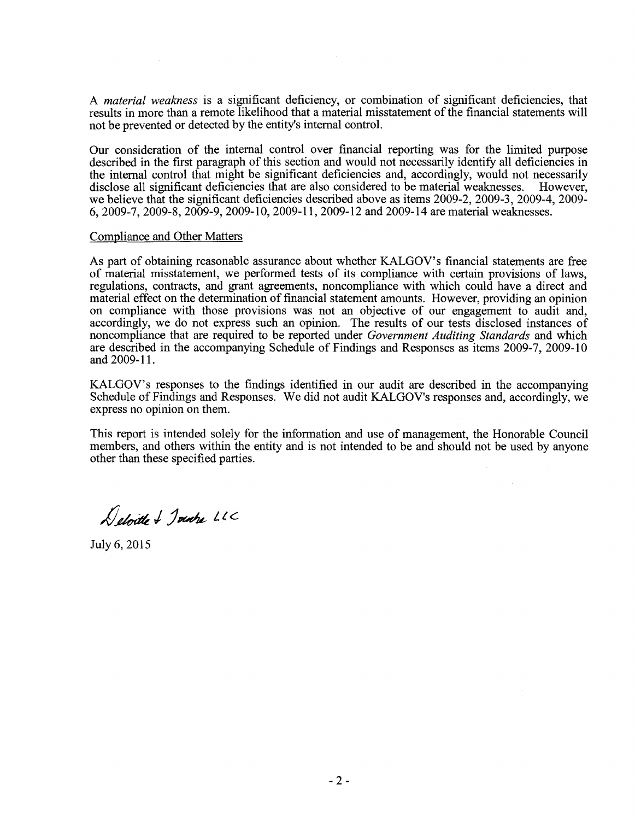A *material weakness* is a significant deficiency, or combination of significant deficiencies, that results in more than a remote likelihood that a material misstatement of the financial statements will not be prevented or detected by the entity's internal control.

Our consideration of the internal control over financial reporting was for the limited purpose described in the first paragraph of this section and would not necessarily identify all deficiencies in the internal control that might be significant deficiencies and, accordingly, would not necessarily disclose all significant deficiencies that are also considered to be material weaknesses. However, we believe that the significant deficiencies described above as items 2009-2, 2009-3, 2009-4, 2009- 6,2009-7,2009-8,2009-9,2009-10,2009-11,2009-12 and 2009-14 are material weaknesses.

#### Compliance and Other Matters

As part of obtaining reasonable assurance about whether KALGOV's financial statements are free of material misstatement, we performed tests of its compliance with certain provisions of laws, regulations, contracts, and grant agreements, noncompliance with which could have a direct and material effect on the determination of financial statement amounts. However, providing an opinion on compliance with those provisions was not an objective of our engagement to audit and, accordingly, we do not express such an opinion. The results of our tests disclosed instances of noncompliance that are required to be reported under *Government Auditing Standards* and which are described in the accompanying Schedule of Findings and Responses as items 2009-7, 2009-10 and 2009-11.

KALGOV's responses to the findings identified in our audit are described in the accompanying Schedule of Findings and Responses. We did not audit KALGOV's responses and, accordingly, we express no opinion on them.

This report is intended solely for the information and use of management, the Honorable Council members, and others within the entity and is not intended to be and should not be used by anyone other than these specified parties.

Deloitte & Jointre LLC

July 6,2015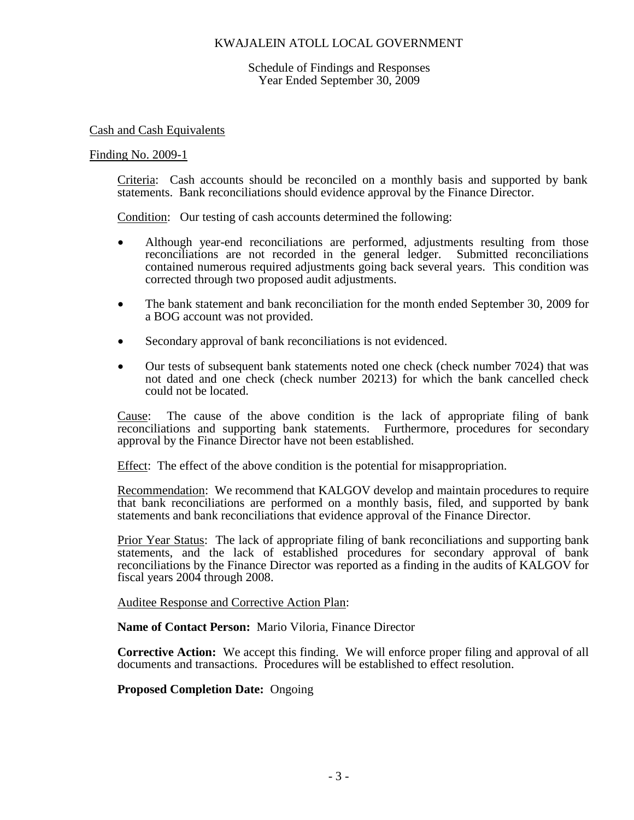Schedule of Findings and Responses Year Ended September 30, 2009

#### Cash and Cash Equivalents

#### Finding No. 2009-1

Criteria: Cash accounts should be reconciled on a monthly basis and supported by bank statements. Bank reconciliations should evidence approval by the Finance Director.

Condition: Our testing of cash accounts determined the following:

- Although year-end reconciliations are performed, adjustments resulting from those reconciliations are not recorded in the general ledger. Submitted reconciliations contained numerous required adjustments going back several years. This condition was corrected through two proposed audit adjustments.
- The bank statement and bank reconciliation for the month ended September 30, 2009 for a BOG account was not provided.
- Secondary approval of bank reconciliations is not evidenced.
- Our tests of subsequent bank statements noted one check (check number 7024) that was not dated and one check (check number 20213) for which the bank cancelled check could not be located.

Cause: The cause of the above condition is the lack of appropriate filing of bank reconciliations and supporting bank statements. Furthermore, procedures for secondary approval by the Finance Director have not been established.

Effect: The effect of the above condition is the potential for misappropriation.

Recommendation: We recommend that KALGOV develop and maintain procedures to require that bank reconciliations are performed on a monthly basis, filed, and supported by bank statements and bank reconciliations that evidence approval of the Finance Director.

Prior Year Status: The lack of appropriate filing of bank reconciliations and supporting bank statements, and the lack of established procedures for secondary approval of bank reconciliations by the Finance Director was reported as a finding in the audits of KALGOV for fiscal years 2004 through 2008.

#### Auditee Response and Corrective Action Plan:

**Name of Contact Person:** Mario Viloria, Finance Director

**Corrective Action:** We accept this finding. We will enforce proper filing and approval of all documents and transactions. Procedures will be established to effect resolution.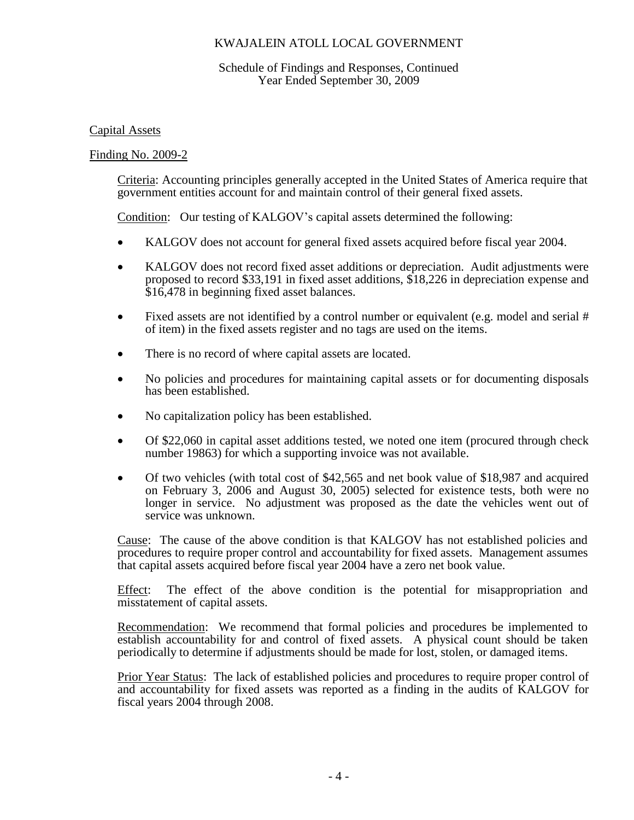### Schedule of Findings and Responses, Continued Year Ended September 30, 2009

### Capital Assets

### Finding No. 2009-2

Criteria: Accounting principles generally accepted in the United States of America require that government entities account for and maintain control of their general fixed assets.

Condition: Our testing of KALGOV's capital assets determined the following:

- KALGOV does not account for general fixed assets acquired before fiscal year 2004.
- KALGOV does not record fixed asset additions or depreciation. Audit adjustments were proposed to record \$33,191 in fixed asset additions, \$18,226 in depreciation expense and \$16,478 in beginning fixed asset balances.
- Fixed assets are not identified by a control number or equivalent (e.g. model and serial # of item) in the fixed assets register and no tags are used on the items.
- There is no record of where capital assets are located.
- No policies and procedures for maintaining capital assets or for documenting disposals has been established.
- No capitalization policy has been established.
- Of \$22,060 in capital asset additions tested, we noted one item (procured through check number 19863) for which a supporting invoice was not available.
- Of two vehicles (with total cost of \$42,565 and net book value of \$18,987 and acquired on February 3, 2006 and August 30, 2005) selected for existence tests, both were no longer in service. No adjustment was proposed as the date the vehicles went out of service was unknown.

Cause: The cause of the above condition is that KALGOV has not established policies and procedures to require proper control and accountability for fixed assets. Management assumes that capital assets acquired before fiscal year 2004 have a zero net book value.

Effect: The effect of the above condition is the potential for misappropriation and misstatement of capital assets.

Recommendation: We recommend that formal policies and procedures be implemented to establish accountability for and control of fixed assets. A physical count should be taken periodically to determine if adjustments should be made for lost, stolen, or damaged items.

Prior Year Status: The lack of established policies and procedures to require proper control of and accountability for fixed assets was reported as a finding in the audits of KALGOV for fiscal years 2004 through 2008.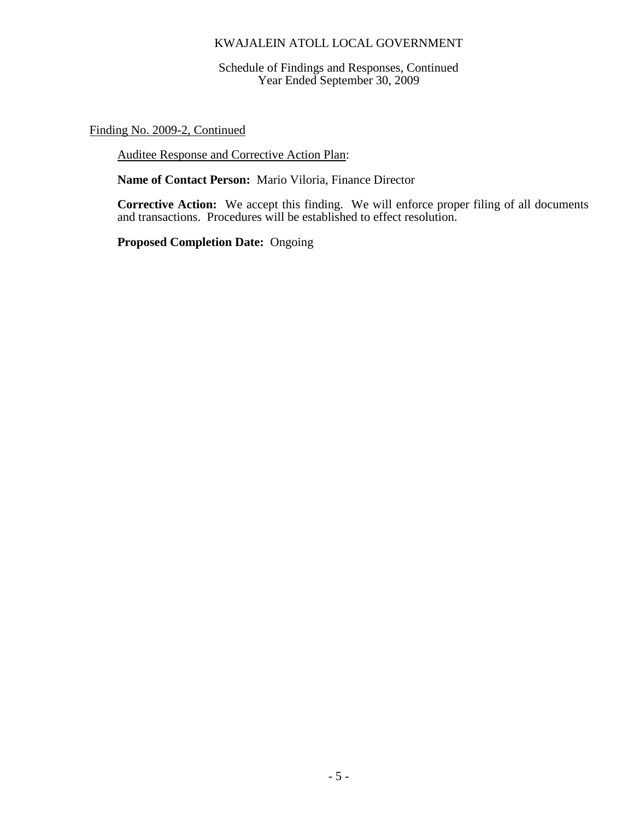Schedule of Findings and Responses, Continued Year Ended September 30, 2009

Finding No. 2009-2, Continued

Auditee Response and Corrective Action Plan:

**Name of Contact Person:** Mario Viloria, Finance Director

**Corrective Action:** We accept this finding. We will enforce proper filing of all documents and transactions. Procedures will be established to effect resolution.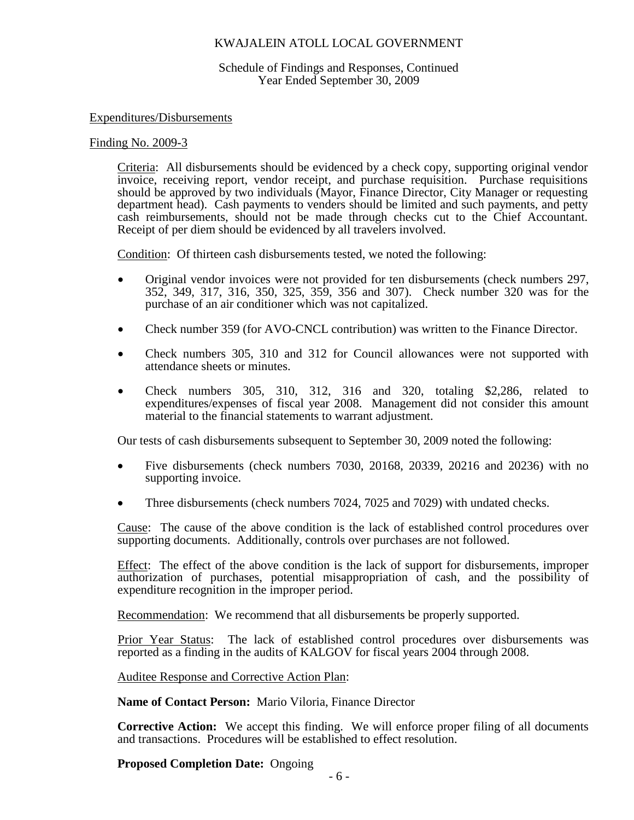#### Schedule of Findings and Responses, Continued Year Ended September 30, 2009

#### Expenditures/Disbursements

#### Finding No. 2009-3

Criteria: All disbursements should be evidenced by a check copy, supporting original vendor invoice, receiving report, vendor receipt, and purchase requisition. Purchase requisitions should be approved by two individuals (Mayor, Finance Director, City Manager or requesting department head). Cash payments to venders should be limited and such payments, and petty cash reimbursements, should not be made through checks cut to the Chief Accountant. Receipt of per diem should be evidenced by all travelers involved.

Condition: Of thirteen cash disbursements tested, we noted the following:

- Original vendor invoices were not provided for ten disbursements (check numbers 297, 352, 349, 317, 316, 350, 325, 359, 356 and 307). Check number 320 was for the purchase of an air conditioner which was not capitalized.
- Check number 359 (for AVO-CNCL contribution) was written to the Finance Director.
- Check numbers 305, 310 and 312 for Council allowances were not supported with attendance sheets or minutes.
- Check numbers 305, 310, 312, 316 and 320, totaling \$2,286, related to expenditures/expenses of fiscal year 2008. Management did not consider this amount material to the financial statements to warrant adjustment.

Our tests of cash disbursements subsequent to September 30, 2009 noted the following:

- Five disbursements (check numbers 7030, 20168, 20339, 20216 and 20236) with no supporting invoice.
- Three disbursements (check numbers 7024, 7025 and 7029) with undated checks.

Cause: The cause of the above condition is the lack of established control procedures over supporting documents. Additionally, controls over purchases are not followed.

Effect: The effect of the above condition is the lack of support for disbursements, improper authorization of purchases, potential misappropriation of cash, and the possibility of expenditure recognition in the improper period.

Recommendation: We recommend that all disbursements be properly supported.

Prior Year Status: The lack of established control procedures over disbursements was reported as a finding in the audits of KALGOV for fiscal years 2004 through 2008.

Auditee Response and Corrective Action Plan:

**Name of Contact Person:** Mario Viloria, Finance Director

**Corrective Action:** We accept this finding. We will enforce proper filing of all documents and transactions. Procedures will be established to effect resolution.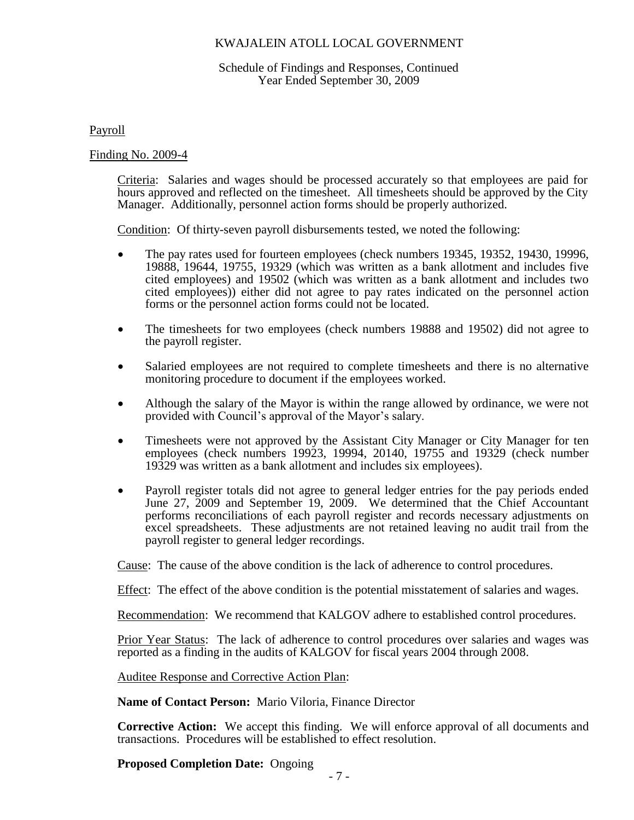### Schedule of Findings and Responses, Continued Year Ended September 30, 2009

Payroll

Finding No. 2009-4

Criteria: Salaries and wages should be processed accurately so that employees are paid for hours approved and reflected on the timesheet. All timesheets should be approved by the City Manager. Additionally, personnel action forms should be properly authorized.

Condition: Of thirty-seven payroll disbursements tested, we noted the following:

- The pay rates used for fourteen employees (check numbers 19345, 19352, 19430, 19996, 19888, 19644, 19755, 19329 (which was written as a bank allotment and includes five cited employees) and 19502 (which was written as a bank allotment and includes two cited employees)) either did not agree to pay rates indicated on the personnel action forms or the personnel action forms could not be located.
- The timesheets for two employees (check numbers 19888 and 19502) did not agree to the payroll register.
- Salaried employees are not required to complete timesheets and there is no alternative monitoring procedure to document if the employees worked.
- Although the salary of the Mayor is within the range allowed by ordinance, we were not provided with Council's approval of the Mayor's salary.
- Timesheets were not approved by the Assistant City Manager or City Manager for ten employees (check numbers 19923, 19994, 20140, 19755 and 19329 (check number 19329 was written as a bank allotment and includes six employees).
- Payroll register totals did not agree to general ledger entries for the pay periods ended June 27, 2009 and September 19, 2009. We determined that the Chief Accountant performs reconciliations of each payroll register and records necessary adjustments on excel spreadsheets. These adjustments are not retained leaving no audit trail from the payroll register to general ledger recordings.

Cause: The cause of the above condition is the lack of adherence to control procedures.

Effect: The effect of the above condition is the potential misstatement of salaries and wages.

Recommendation: We recommend that KALGOV adhere to established control procedures.

Prior Year Status: The lack of adherence to control procedures over salaries and wages was reported as a finding in the audits of KALGOV for fiscal years 2004 through 2008.

Auditee Response and Corrective Action Plan:

**Name of Contact Person:** Mario Viloria, Finance Director

**Corrective Action:** We accept this finding. We will enforce approval of all documents and transactions. Procedures will be established to effect resolution.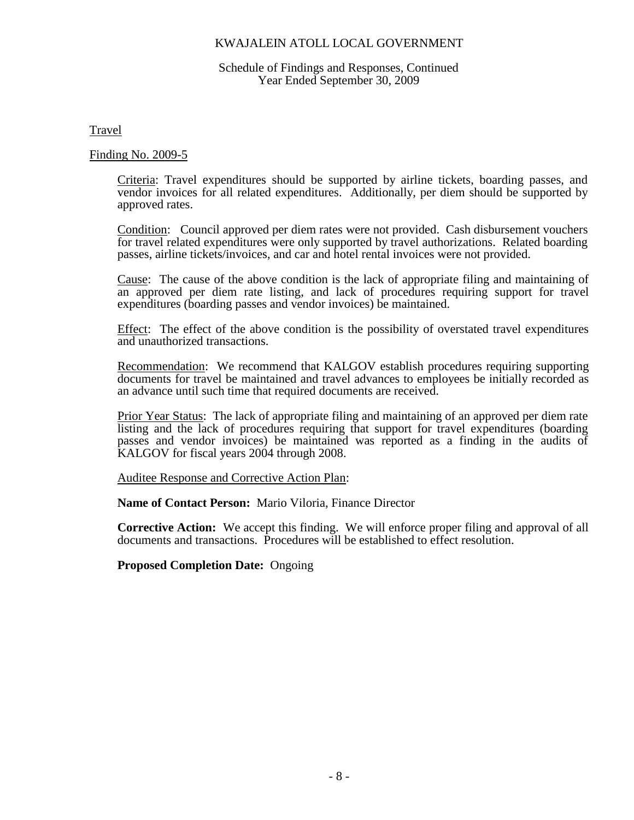#### Schedule of Findings and Responses, Continued Year Ended September 30, 2009

Travel

#### Finding No. 2009-5

Criteria: Travel expenditures should be supported by airline tickets, boarding passes, and vendor invoices for all related expenditures. Additionally, per diem should be supported by approved rates.

Condition: Council approved per diem rates were not provided. Cash disbursement vouchers for travel related expenditures were only supported by travel authorizations. Related boarding passes, airline tickets/invoices, and car and hotel rental invoices were not provided.

Cause: The cause of the above condition is the lack of appropriate filing and maintaining of an approved per diem rate listing, and lack of procedures requiring support for travel expenditures (boarding passes and vendor invoices) be maintained.

Effect: The effect of the above condition is the possibility of overstated travel expenditures and unauthorized transactions.

Recommendation: We recommend that KALGOV establish procedures requiring supporting documents for travel be maintained and travel advances to employees be initially recorded as an advance until such time that required documents are received.

Prior Year Status: The lack of appropriate filing and maintaining of an approved per diem rate listing and the lack of procedures requiring that support for travel expenditures (boarding passes and vendor invoices) be maintained was reported as a finding in the audits of KALGOV for fiscal years 2004 through 2008.

Auditee Response and Corrective Action Plan:

**Name of Contact Person:** Mario Viloria, Finance Director

**Corrective Action:** We accept this finding. We will enforce proper filing and approval of all documents and transactions. Procedures will be established to effect resolution.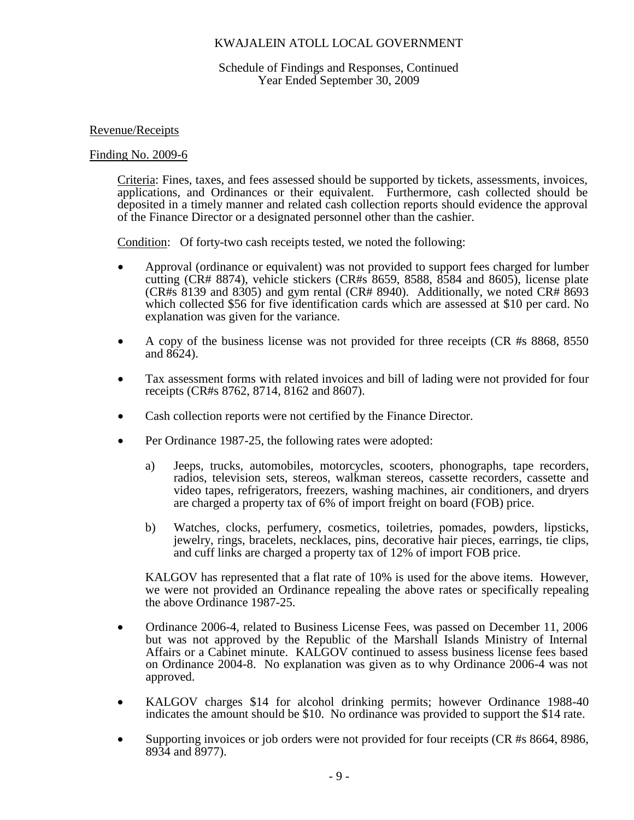### Schedule of Findings and Responses, Continued Year Ended September 30, 2009

### Revenue/Receipts

### Finding No. 2009-6

Criteria: Fines, taxes, and fees assessed should be supported by tickets, assessments, invoices, applications, and Ordinances or their equivalent. Furthermore, cash collected should be deposited in a timely manner and related cash collection reports should evidence the approval of the Finance Director or a designated personnel other than the cashier.

Condition: Of forty-two cash receipts tested, we noted the following:

- Approval (ordinance or equivalent) was not provided to support fees charged for lumber cutting (CR# 8874), vehicle stickers (CR#s 8659, 8588, 8584 and 8605), license plate (CR#s 8139 and 8305) and gym rental (CR# 8940). Additionally, we noted CR#  $8693$ which collected \$56 for five identification cards which are assessed at \$10 per card. No explanation was given for the variance.
- A copy of the business license was not provided for three receipts (CR #s 8868, 8550 and 8624).
- Tax assessment forms with related invoices and bill of lading were not provided for four receipts (CR#s 8762, 8714, 8162 and 8607).
- Cash collection reports were not certified by the Finance Director.
- Per Ordinance 1987-25, the following rates were adopted:
	- a) Jeeps, trucks, automobiles, motorcycles, scooters, phonographs, tape recorders, radios, television sets, stereos, walkman stereos, cassette recorders, cassette and video tapes, refrigerators, freezers, washing machines, air conditioners, and dryers are charged a property tax of 6% of import freight on board (FOB) price.
	- b) Watches, clocks, perfumery, cosmetics, toiletries, pomades, powders, lipsticks, jewelry, rings, bracelets, necklaces, pins, decorative hair pieces, earrings, tie clips, and cuff links are charged a property tax of 12% of import FOB price.

KALGOV has represented that a flat rate of 10% is used for the above items. However, we were not provided an Ordinance repealing the above rates or specifically repealing the above Ordinance 1987-25.

- Ordinance 2006-4, related to Business License Fees, was passed on December 11, 2006 but was not approved by the Republic of the Marshall Islands Ministry of Internal Affairs or a Cabinet minute. KALGOV continued to assess business license fees based on Ordinance 2004-8. No explanation was given as to why Ordinance 2006-4 was not approved.
- KALGOV charges \$14 for alcohol drinking permits; however Ordinance 1988-40 indicates the amount should be \$10. No ordinance was provided to support the \$14 rate.
- Supporting invoices or job orders were not provided for four receipts (CR #s 8664, 8986, 8934 and 8977).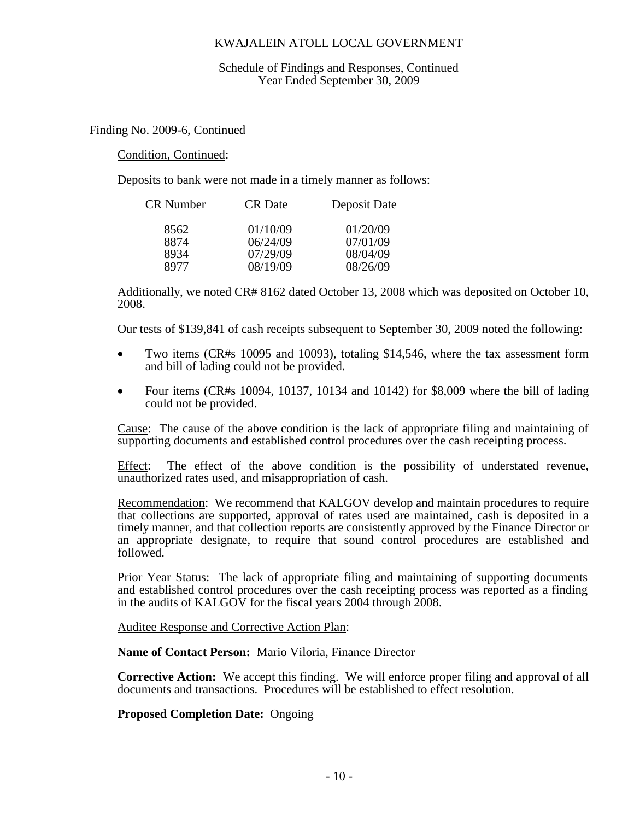#### Schedule of Findings and Responses, Continued Year Ended September 30, 2009

### Finding No. 2009-6, Continued

### Condition, Continued:

Deposits to bank were not made in a timely manner as follows:

| CR Number | <b>CR</b> Date | Deposit Date |
|-----------|----------------|--------------|
| 8562      | 01/10/09       | 01/20/09     |
| 8874      | 06/24/09       | 07/01/09     |
| 8934      | 07/29/09       | 08/04/09     |
| 8977      | 08/19/09       | 08/26/09     |

Additionally, we noted CR# 8162 dated October 13, 2008 which was deposited on October 10, 2008.

Our tests of \$139,841 of cash receipts subsequent to September 30, 2009 noted the following:

- Two items (CR#s 10095 and 10093), totaling \$14,546, where the tax assessment form and bill of lading could not be provided.
- Four items (CR#s 10094, 10137, 10134 and 10142) for \$8,009 where the bill of lading could not be provided.

Cause: The cause of the above condition is the lack of appropriate filing and maintaining of supporting documents and established control procedures over the cash receipting process.

Effect: The effect of the above condition is the possibility of understated revenue, unauthorized rates used, and misappropriation of cash.

Recommendation: We recommend that KALGOV develop and maintain procedures to require that collections are supported, approval of rates used are maintained, cash is deposited in a timely manner, and that collection reports are consistently approved by the Finance Director or an appropriate designate, to require that sound control procedures are established and followed.

Prior Year Status: The lack of appropriate filing and maintaining of supporting documents and established control procedures over the cash receipting process was reported as a finding in the audits of KALGOV for the fiscal years 2004 through 2008.

Auditee Response and Corrective Action Plan:

**Name of Contact Person:** Mario Viloria, Finance Director

**Corrective Action:** We accept this finding. We will enforce proper filing and approval of all documents and transactions. Procedures will be established to effect resolution.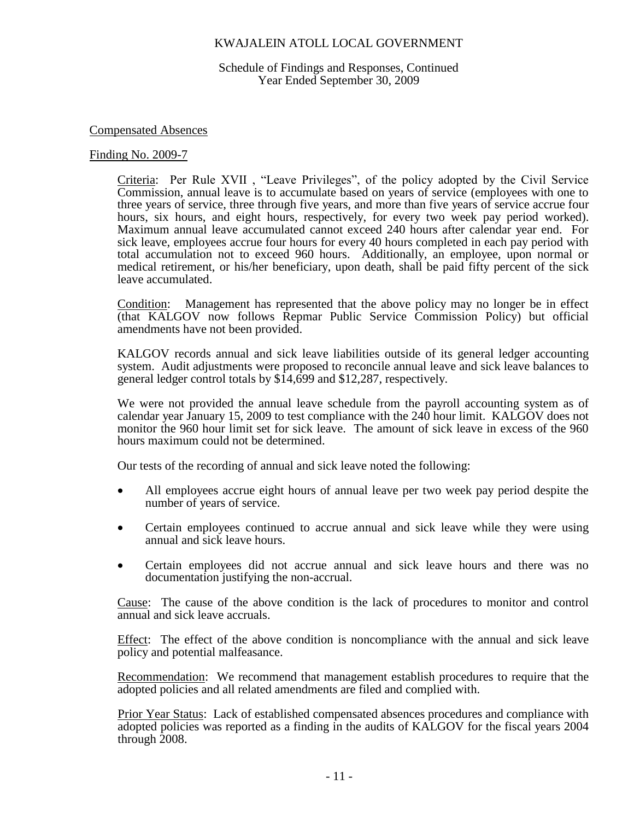Schedule of Findings and Responses, Continued Year Ended September 30, 2009

### Compensated Absences

#### Finding No. 2009-7

Criteria: Per Rule XVII , "Leave Privileges", of the policy adopted by the Civil Service Commission, annual leave is to accumulate based on years of service (employees with one to three years of service, three through five years, and more than five years of service accrue four hours, six hours, and eight hours, respectively, for every two week pay period worked). Maximum annual leave accumulated cannot exceed 240 hours after calendar year end. For sick leave, employees accrue four hours for every 40 hours completed in each pay period with total accumulation not to exceed 960 hours. Additionally, an employee, upon normal or medical retirement, or his/her beneficiary, upon death, shall be paid fifty percent of the sick leave accumulated.

Condition: Management has represented that the above policy may no longer be in effect (that KALGOV now follows Repmar Public Service Commission Policy) but official amendments have not been provided.

KALGOV records annual and sick leave liabilities outside of its general ledger accounting system. Audit adjustments were proposed to reconcile annual leave and sick leave balances to general ledger control totals by \$14,699 and \$12,287, respectively.

We were not provided the annual leave schedule from the payroll accounting system as of calendar year January 15, 2009 to test compliance with the 240 hour limit. KALGOV does not monitor the 960 hour limit set for sick leave. The amount of sick leave in excess of the 960 hours maximum could not be determined.

Our tests of the recording of annual and sick leave noted the following:

- All employees accrue eight hours of annual leave per two week pay period despite the number of years of service.
- Certain employees continued to accrue annual and sick leave while they were using annual and sick leave hours.
- Certain employees did not accrue annual and sick leave hours and there was no documentation justifying the non-accrual.

Cause: The cause of the above condition is the lack of procedures to monitor and control annual and sick leave accruals.

Effect: The effect of the above condition is noncompliance with the annual and sick leave policy and potential malfeasance.

Recommendation: We recommend that management establish procedures to require that the adopted policies and all related amendments are filed and complied with.

Prior Year Status: Lack of established compensated absences procedures and compliance with adopted policies was reported as a finding in the audits of KALGOV for the fiscal years 2004 through 2008.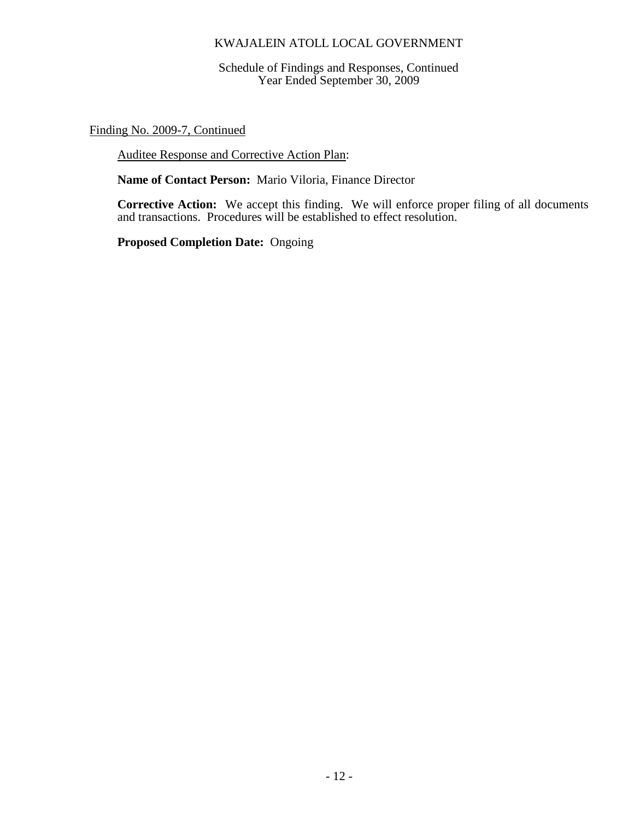Schedule of Findings and Responses, Continued Year Ended September 30, 2009

Finding No. 2009-7, Continued

Auditee Response and Corrective Action Plan:

**Name of Contact Person:** Mario Viloria, Finance Director

**Corrective Action:** We accept this finding. We will enforce proper filing of all documents and transactions. Procedures will be established to effect resolution.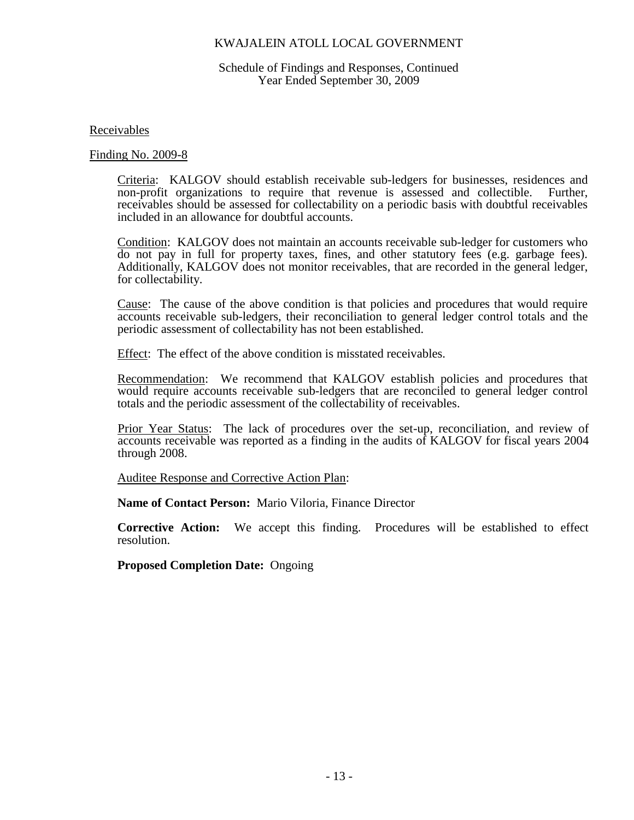### Schedule of Findings and Responses, Continued Year Ended September 30, 2009

Receivables

Finding No. 2009-8

Criteria: KALGOV should establish receivable sub-ledgers for businesses, residences and non-profit organizations to require that revenue is assessed and collectible. Further, receivables should be assessed for collectability on a periodic basis with doubtful receivables included in an allowance for doubtful accounts.

Condition: KALGOV does not maintain an accounts receivable sub-ledger for customers who do not pay in full for property taxes, fines, and other statutory fees (e.g. garbage fees). Additionally, KALGOV does not monitor receivables, that are recorded in the general ledger, for collectability.

Cause: The cause of the above condition is that policies and procedures that would require accounts receivable sub-ledgers, their reconciliation to general ledger control totals and the periodic assessment of collectability has not been established.

Effect: The effect of the above condition is misstated receivables.

Recommendation: We recommend that KALGOV establish policies and procedures that would require accounts receivable sub-ledgers that are reconciled to general ledger control totals and the periodic assessment of the collectability of receivables.

Prior Year Status: The lack of procedures over the set-up, reconciliation, and review of accounts receivable was reported as a finding in the audits of KALGOV for fiscal years 2004 through 2008.

Auditee Response and Corrective Action Plan:

**Name of Contact Person:** Mario Viloria, Finance Director

**Corrective Action:** We accept this finding. Procedures will be established to effect resolution.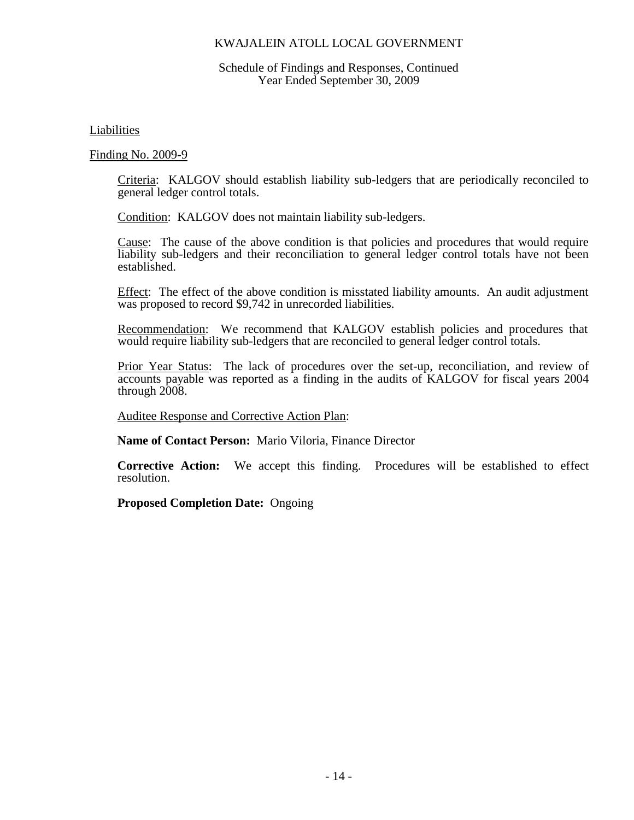### Schedule of Findings and Responses, Continued Year Ended September 30, 2009

Liabilities

Finding No. 2009-9

Criteria: KALGOV should establish liability sub-ledgers that are periodically reconciled to general ledger control totals.

Condition: KALGOV does not maintain liability sub-ledgers.

Cause: The cause of the above condition is that policies and procedures that would require liability sub-ledgers and their reconciliation to general ledger control totals have not been established.

Effect: The effect of the above condition is misstated liability amounts. An audit adjustment was proposed to record \$9,742 in unrecorded liabilities.

Recommendation: We recommend that KALGOV establish policies and procedures that would require liability sub-ledgers that are reconciled to general ledger control totals.

Prior Year Status: The lack of procedures over the set-up, reconciliation, and review of accounts payable was reported as a finding in the audits of KALGOV for fiscal years 2004 through 2008.

Auditee Response and Corrective Action Plan:

**Name of Contact Person:** Mario Viloria, Finance Director

**Corrective Action:** We accept this finding. Procedures will be established to effect resolution.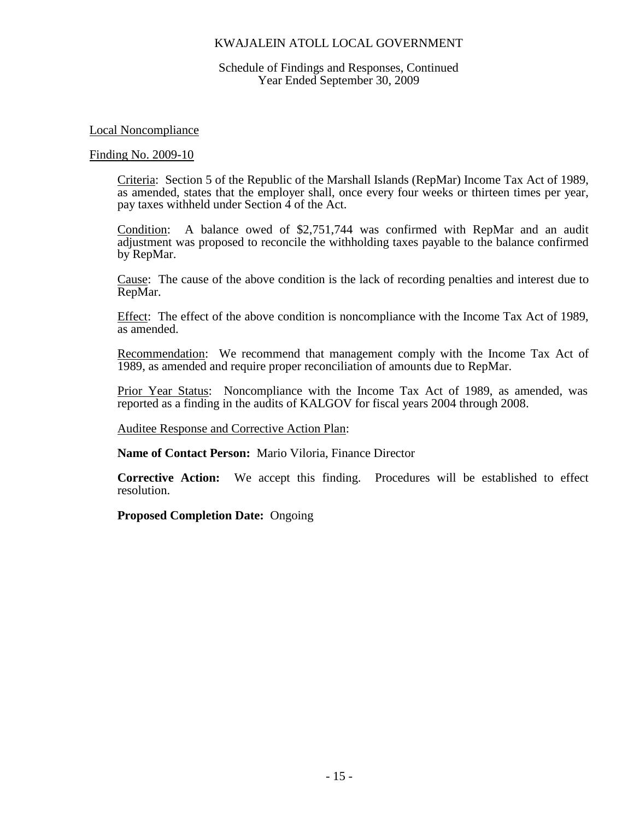### Schedule of Findings and Responses, Continued Year Ended September 30, 2009

### Local Noncompliance

#### Finding No. 2009-10

Criteria: Section 5 of the Republic of the Marshall Islands (RepMar) Income Tax Act of 1989, as amended, states that the employer shall, once every four weeks or thirteen times per year, pay taxes withheld under Section 4 of the Act.

Condition: A balance owed of \$2,751,744 was confirmed with RepMar and an audit adjustment was proposed to reconcile the withholding taxes payable to the balance confirmed by RepMar.

Cause: The cause of the above condition is the lack of recording penalties and interest due to RepMar.

Effect: The effect of the above condition is noncompliance with the Income Tax Act of 1989, as amended.

Recommendation: We recommend that management comply with the Income Tax Act of 1989, as amended and require proper reconciliation of amounts due to RepMar.

Prior Year Status: Noncompliance with the Income Tax Act of 1989, as amended, was reported as a finding in the audits of KALGOV for fiscal years 2004 through 2008.

Auditee Response and Corrective Action Plan:

**Name of Contact Person:** Mario Viloria, Finance Director

**Corrective Action:** We accept this finding. Procedures will be established to effect resolution.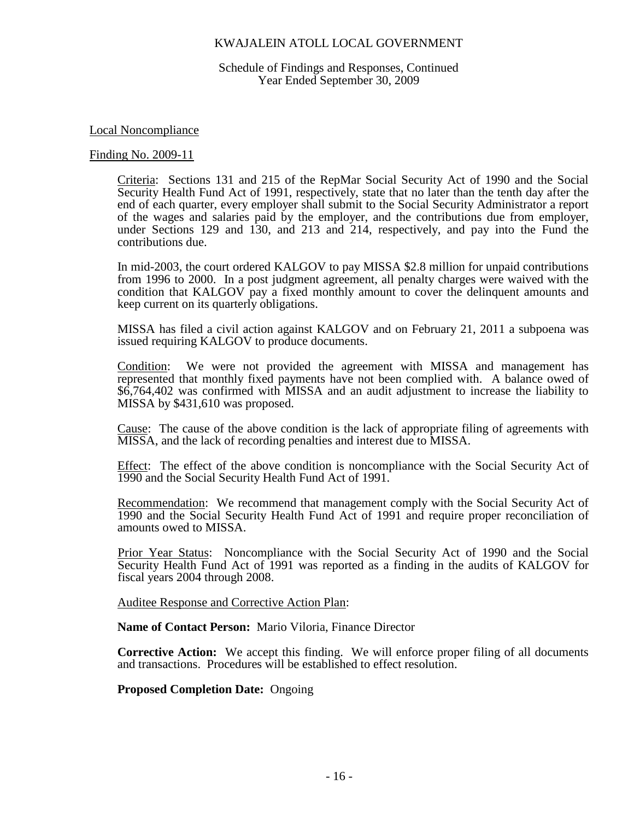Schedule of Findings and Responses, Continued Year Ended September 30, 2009

Local Noncompliance

#### Finding No. 2009-11

Criteria: Sections 131 and 215 of the RepMar Social Security Act of 1990 and the Social Security Health Fund Act of 1991, respectively, state that no later than the tenth day after the end of each quarter, every employer shall submit to the Social Security Administrator a report of the wages and salaries paid by the employer, and the contributions due from employer, under Sections 129 and 130, and 213 and 214, respectively, and pay into the Fund the contributions due.

In mid-2003, the court ordered KALGOV to pay MISSA \$2.8 million for unpaid contributions from 1996 to 2000. In a post judgment agreement, all penalty charges were waived with the condition that KALGOV pay a fixed monthly amount to cover the delinquent amounts and keep current on its quarterly obligations.

MISSA has filed a civil action against KALGOV and on February 21, 2011 a subpoena was issued requiring KALGOV to produce documents.

Condition: We were not provided the agreement with MISSA and management has represented that monthly fixed payments have not been complied with. A balance owed of \$6,764,402 was confirmed with MISSA and an audit adjustment to increase the liability to MISSA by \$431,610 was proposed.

Cause: The cause of the above condition is the lack of appropriate filing of agreements with MISSA, and the lack of recording penalties and interest due to MISSA.

Effect: The effect of the above condition is noncompliance with the Social Security Act of 1990 and the Social Security Health Fund Act of 1991.

Recommendation: We recommend that management comply with the Social Security Act of 1990 and the Social Security Health Fund Act of 1991 and require proper reconciliation of amounts owed to MISSA.

Prior Year Status: Noncompliance with the Social Security Act of 1990 and the Social Security Health Fund Act of 1991 was reported as a finding in the audits of KALGOV for fiscal years 2004 through 2008.

Auditee Response and Corrective Action Plan:

**Name of Contact Person:** Mario Viloria, Finance Director

**Corrective Action:** We accept this finding. We will enforce proper filing of all documents and transactions. Procedures will be established to effect resolution.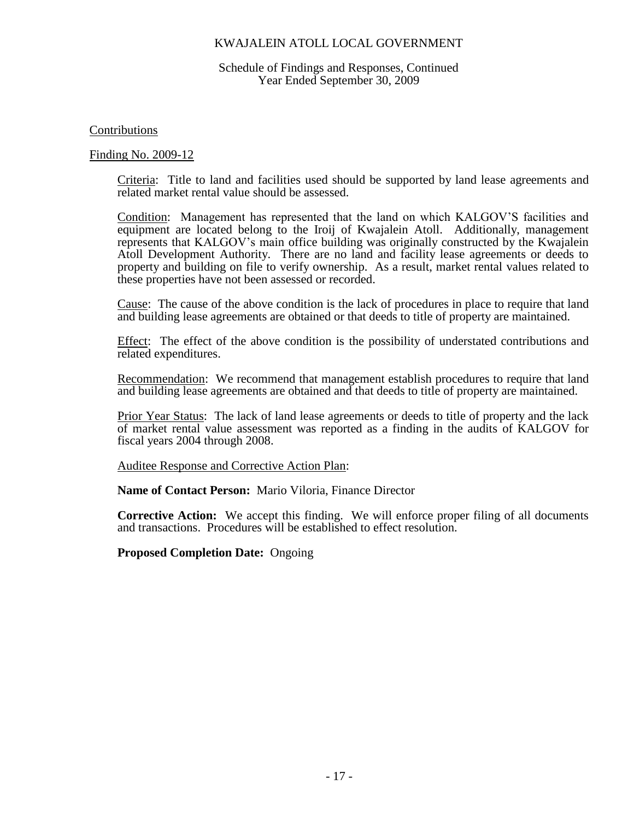### Schedule of Findings and Responses, Continued Year Ended September 30, 2009

### Contributions

### Finding No. 2009-12

Criteria: Title to land and facilities used should be supported by land lease agreements and related market rental value should be assessed.

Condition: Management has represented that the land on which KALGOV'S facilities and equipment are located belong to the Iroij of Kwajalein Atoll. Additionally, management represents that KALGOV's main office building was originally constructed by the Kwajalein Atoll Development Authority. There are no land and facility lease agreements or deeds to property and building on file to verify ownership. As a result, market rental values related to these properties have not been assessed or recorded.

Cause: The cause of the above condition is the lack of procedures in place to require that land and building lease agreements are obtained or that deeds to title of property are maintained.

Effect: The effect of the above condition is the possibility of understated contributions and related expenditures.

Recommendation: We recommend that management establish procedures to require that land and building lease agreements are obtained and that deeds to title of property are maintained.

Prior Year Status: The lack of land lease agreements or deeds to title of property and the lack of market rental value assessment was reported as a finding in the audits of KALGOV for fiscal years 2004 through 2008.

Auditee Response and Corrective Action Plan:

**Name of Contact Person:** Mario Viloria, Finance Director

**Corrective Action:** We accept this finding. We will enforce proper filing of all documents and transactions. Procedures will be established to effect resolution.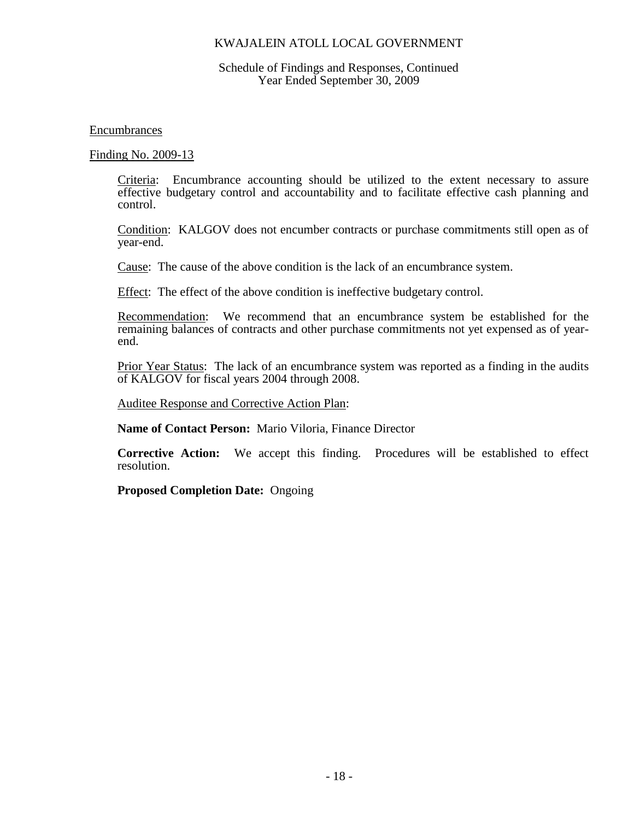### Schedule of Findings and Responses, Continued Year Ended September 30, 2009

Encumbrances

Finding No. 2009-13

Criteria: Encumbrance accounting should be utilized to the extent necessary to assure effective budgetary control and accountability and to facilitate effective cash planning and control.

Condition: KALGOV does not encumber contracts or purchase commitments still open as of year-end.

Cause: The cause of the above condition is the lack of an encumbrance system.

Effect: The effect of the above condition is ineffective budgetary control.

Recommendation: We recommend that an encumbrance system be established for the remaining balances of contracts and other purchase commitments not yet expensed as of yearend.

Prior Year Status: The lack of an encumbrance system was reported as a finding in the audits of KALGOV for fiscal years 2004 through 2008.

Auditee Response and Corrective Action Plan:

**Name of Contact Person:** Mario Viloria, Finance Director

**Corrective Action:** We accept this finding. Procedures will be established to effect resolution.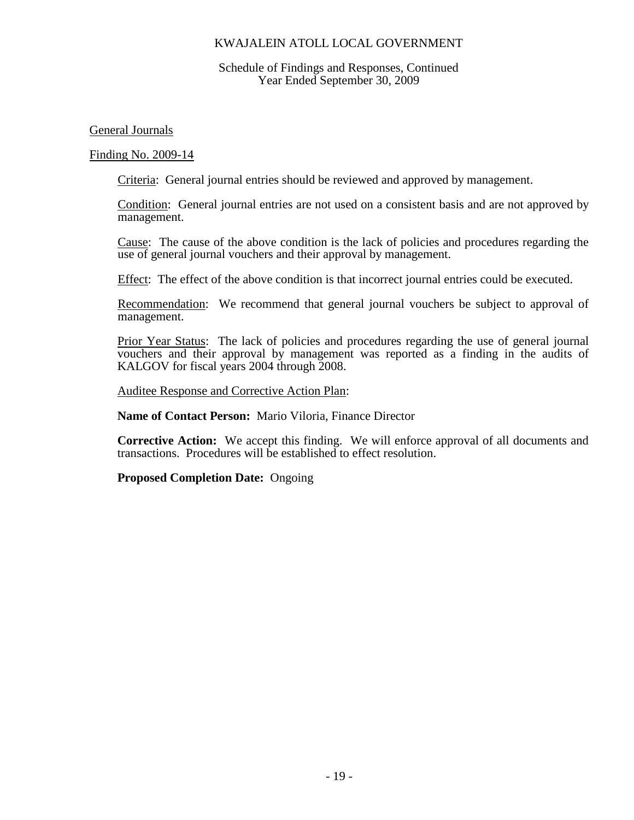### Schedule of Findings and Responses, Continued Year Ended September 30, 2009

General Journals

Finding No. 2009-14

Criteria: General journal entries should be reviewed and approved by management.

Condition: General journal entries are not used on a consistent basis and are not approved by management.

Cause: The cause of the above condition is the lack of policies and procedures regarding the use of general journal vouchers and their approval by management.

Effect: The effect of the above condition is that incorrect journal entries could be executed.

Recommendation: We recommend that general journal vouchers be subject to approval of management.

Prior Year Status: The lack of policies and procedures regarding the use of general journal vouchers and their approval by management was reported as a finding in the audits of KALGOV for fiscal years 2004 through 2008.

Auditee Response and Corrective Action Plan:

**Name of Contact Person:** Mario Viloria, Finance Director

**Corrective Action:** We accept this finding. We will enforce approval of all documents and transactions. Procedures will be established to effect resolution.